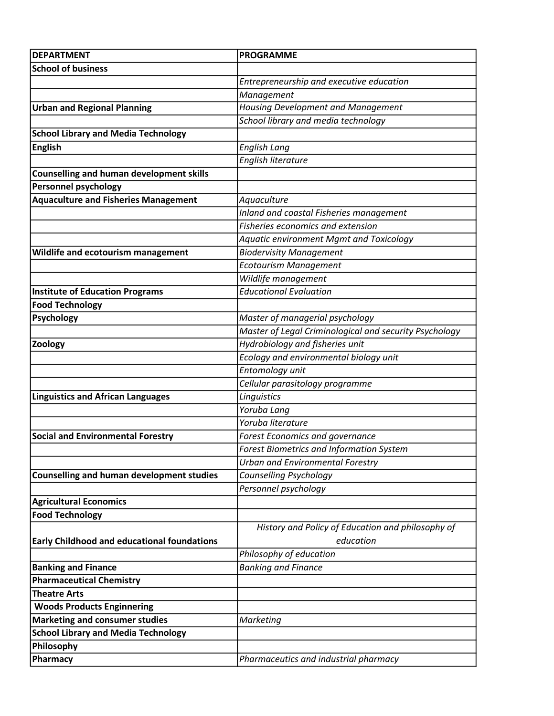| <b>DEPARTMENT</b>                                  | <b>PROGRAMME</b>                                       |
|----------------------------------------------------|--------------------------------------------------------|
| <b>School of business</b>                          |                                                        |
|                                                    | Entrepreneurship and executive education               |
|                                                    | Management                                             |
| <b>Urban and Regional Planning</b>                 | <b>Housing Development and Management</b>              |
|                                                    | School library and media technology                    |
| <b>School Library and Media Technology</b>         |                                                        |
| <b>English</b>                                     | <b>English Lang</b>                                    |
|                                                    | English literature                                     |
| <b>Counselling and human development skills</b>    |                                                        |
| <b>Personnel psychology</b>                        |                                                        |
| <b>Aquaculture and Fisheries Management</b>        | Aquaculture                                            |
|                                                    | Inland and coastal Fisheries management                |
|                                                    | Fisheries economics and extension                      |
|                                                    | <b>Aquatic environment Mgmt and Toxicology</b>         |
| Wildlife and ecotourism management                 | <b>Biodervisity Management</b>                         |
|                                                    | <b>Ecotourism Management</b>                           |
|                                                    | Wildlife management                                    |
| <b>Institute of Education Programs</b>             | <b>Educational Evaluation</b>                          |
| <b>Food Technology</b>                             |                                                        |
| Psychology                                         | Master of managerial psychology                        |
|                                                    | Master of Legal Criminological and security Psychology |
| Zoology                                            | Hydrobiology and fisheries unit                        |
|                                                    | Ecology and environmental biology unit                 |
|                                                    | Entomology unit                                        |
|                                                    | Cellular parasitology programme                        |
| <b>Linguistics and African Languages</b>           | Linguistics                                            |
|                                                    | Yoruba Lang                                            |
|                                                    | Yoruba literature                                      |
| <b>Social and Environmental Forestry</b>           | Forest Economics and governance                        |
|                                                    | <b>Forest Biometrics and Information System</b>        |
|                                                    | <b>Urban and Environmental Forestry</b>                |
| <b>Counselling and human development studies</b>   | Counselling Psychology                                 |
|                                                    | Personnel psychology                                   |
| <b>Agricultural Economics</b>                      |                                                        |
| <b>Food Technology</b>                             |                                                        |
|                                                    | History and Policy of Education and philosophy of      |
| <b>Early Childhood and educational foundations</b> | education                                              |
|                                                    | Philosophy of education                                |
| <b>Banking and Finance</b>                         | <b>Banking and Finance</b>                             |
| <b>Pharmaceutical Chemistry</b>                    |                                                        |
| <b>Theatre Arts</b>                                |                                                        |
| <b>Woods Products Enginnering</b>                  |                                                        |
| <b>Marketing and consumer studies</b>              | Marketing                                              |
| <b>School Library and Media Technology</b>         |                                                        |
| Philosophy                                         |                                                        |
| Pharmacy                                           | Pharmaceutics and industrial pharmacy                  |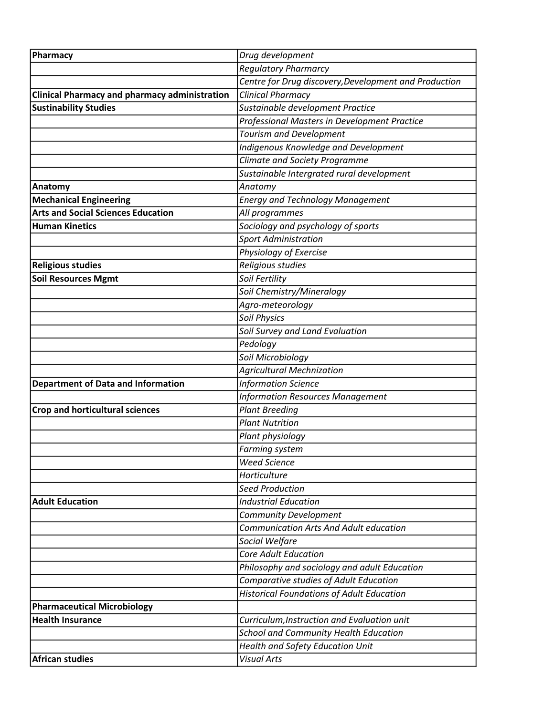| Pharmacy                                             | Drug development                                      |
|------------------------------------------------------|-------------------------------------------------------|
|                                                      | <b>Regulatory Pharmarcy</b>                           |
|                                                      | Centre for Drug discovery, Development and Production |
| <b>Clinical Pharmacy and pharmacy administration</b> | <b>Clinical Pharmacy</b>                              |
| <b>Sustinability Studies</b>                         | Sustainable development Practice                      |
|                                                      | Professional Masters in Development Practice          |
|                                                      | <b>Tourism and Development</b>                        |
|                                                      | <b>Indigenous Knowledge and Development</b>           |
|                                                      | Climate and Society Programme                         |
|                                                      | Sustainable Intergrated rural development             |
| Anatomy                                              | Anatomy                                               |
| <b>Mechanical Engineering</b>                        | <b>Energy and Technology Management</b>               |
| <b>Arts and Social Sciences Education</b>            | All programmes                                        |
| <b>Human Kinetics</b>                                | Sociology and psychology of sports                    |
|                                                      | <b>Sport Administration</b>                           |
|                                                      | Physiology of Exercise                                |
| <b>Religious studies</b>                             | Religious studies                                     |
| <b>Soil Resources Mgmt</b>                           | Soil Fertility                                        |
|                                                      | Soil Chemistry/Mineralogy                             |
|                                                      | Agro-meteorology                                      |
|                                                      | <b>Soil Physics</b>                                   |
|                                                      | Soil Survey and Land Evaluation                       |
|                                                      | Pedology                                              |
|                                                      | Soil Microbiology                                     |
|                                                      | <b>Agricultural Mechnization</b>                      |
| <b>Department of Data and Information</b>            | <b>Information Science</b>                            |
|                                                      | <b>Information Resources Management</b>               |
| <b>Crop and horticultural sciences</b>               | <b>Plant Breeding</b>                                 |
|                                                      | <b>Plant Nutrition</b>                                |
|                                                      | Plant physiology                                      |
|                                                      | <b>Farming system</b>                                 |
|                                                      | <b>Weed Science</b>                                   |
|                                                      | Horticulture                                          |
|                                                      | <b>Seed Production</b>                                |
| <b>Adult Education</b>                               | <b>Industrial Education</b>                           |
|                                                      | <b>Community Development</b>                          |
|                                                      | <b>Communication Arts And Adult education</b>         |
|                                                      | Social Welfare                                        |
|                                                      | <b>Core Adult Education</b>                           |
|                                                      | Philosophy and sociology and adult Education          |
|                                                      | Comparative studies of Adult Education                |
|                                                      | <b>Historical Foundations of Adult Education</b>      |
| <b>Pharmaceutical Microbiology</b>                   |                                                       |
| <b>Health Insurance</b>                              | Curriculum, Instruction and Evaluation unit           |
|                                                      | <b>School and Community Health Education</b>          |
|                                                      | <b>Health and Safety Education Unit</b>               |
| <b>African studies</b>                               | <b>Visual Arts</b>                                    |